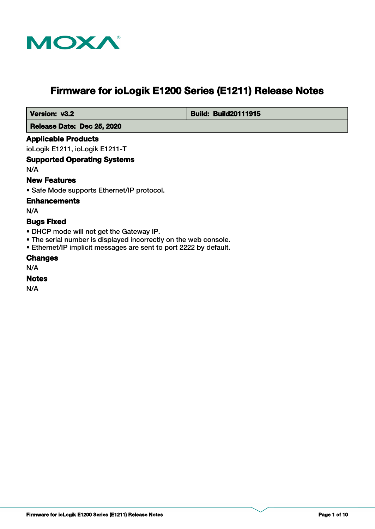

# **Firmware for ioLogik E1200 Series (E1211) Release Notes**

 **Version: v3.2 Build: Build: Build20111915** 

 **Release Date: Dec 25, 2020**

## **Applicable Products**

ioLogik E1211, ioLogik E1211-T

## **Supported Operating Systems**

N/A

## **New Features**

• Safe Mode supports Ethernet/IP protocol.

## **Enhancements**

N/A

## **Bugs Fixed**

- DHCP mode will not get the Gateway IP.
- The serial number is displayed incorrectly on the web console.
- Ethernet/IP implicit messages are sent to port 2222 by default.

#### **Changes**

N/A

# **Notes**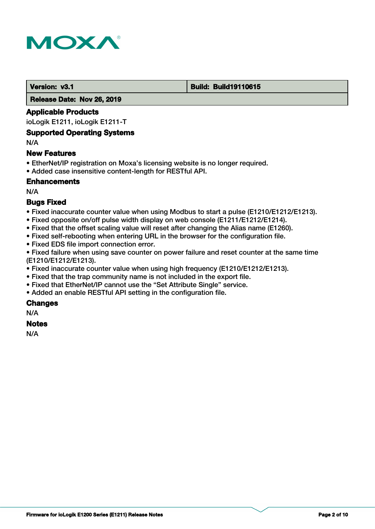

#### **Version: v3.1 Build: Build: Build19110615**

 **Release Date: Nov 26, 2019**

## **Applicable Products**

ioLogik E1211, ioLogik E1211-T

#### **Supported Operating Systems**

N/A

## **New Features**

- EtherNet/IP registration on Moxa's licensing website is no longer required.
- Added case insensitive content-length for RESTful API.

## **Enhancements**

N/A

## **Bugs Fixed**

- Fixed inaccurate counter value when using Modbus to start a pulse (E1210/E1212/E1213).
- Fixed opposite on/off pulse width display on web console (E1211/E1212/E1214).
- Fixed that the offset scaling value will reset after changing the Alias name (E1260).
- Fixed self-rebooting when entering URL in the browser for the configuration file.
- Fixed EDS file import connection error.

• Fixed failure when using save counter on power failure and reset counter at the same time (E1210/E1212/E1213).

- Fixed inaccurate counter value when using high frequency (E1210/E1212/E1213).
- Fixed that the trap community name is not included in the export file.
- Fixed that EtherNet/IP cannot use the "Set Attribute Single" service.
- Added an enable RESTful API setting in the configuration file.

## **Changes**

N/A

## **Notes**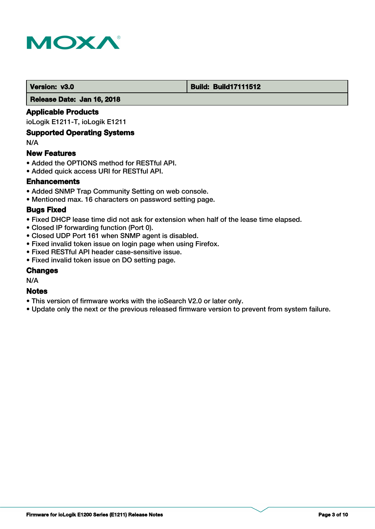

#### **Version: v3.0 Build: Build: Build17111512**

 **Release Date: Jan 16, 2018**

## **Applicable Products**

ioLogik E1211-T, ioLogik E1211

## **Supported Operating Systems**

N/A

#### **New Features**

- Added the OPTIONS method for RESTful API.
- Added quick access URI for RESTful API.

## **Enhancements**

- Added SNMP Trap Community Setting on web console.
- Mentioned max. 16 characters on password setting page.

#### **Bugs Fixed**

- Fixed DHCP lease time did not ask for extension when half of the lease time elapsed.
- Closed IP forwarding function (Port 0).
- Closed UDP Port 161 when SNMP agent is disabled.
- Fixed invalid token issue on login page when using Firefox.
- Fixed RESTful API header case-sensitive issue.
- Fixed invalid token issue on DO setting page.

## **Changes**

N/A

#### **Notes**

- This version of firmware works with the ioSearch V2.0 or later only.
- Update only the next or the previous released firmware version to prevent from system failure.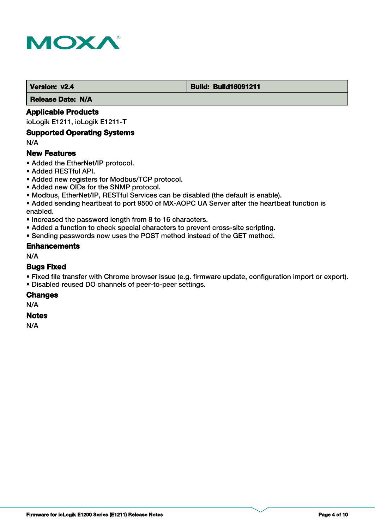

#### **Version: v2.4 Build: Build: Build16091211**

 **Release Date: N/A**

## **Applicable Products**

ioLogik E1211, ioLogik E1211-T

## **Supported Operating Systems**

N/A

#### **New Features**

- Added the EtherNet/IP protocol.
- Added RESTful API.
- Added new registers for Modbus/TCP protocol.
- Added new OIDs for the SNMP protocol.
- Modbus, EtherNet/IP, RESTful Services can be disabled (the default is enable).
- Added sending heartbeat to port 9500 of MX-AOPC UA Server after the heartbeat function is enabled.
- Increased the password length from 8 to 16 characters.
- Added a function to check special characters to prevent cross-site scripting.
- Sending passwords now uses the POST method instead of the GET method.

#### **Enhancements**

N/A

#### **Bugs Fixed**

- Fixed file transfer with Chrome browser issue (e.g. firmware update, configuration import or export).
- Disabled reused DO channels of peer-to-peer settings.

#### **Changes**

N/A

#### **Notes**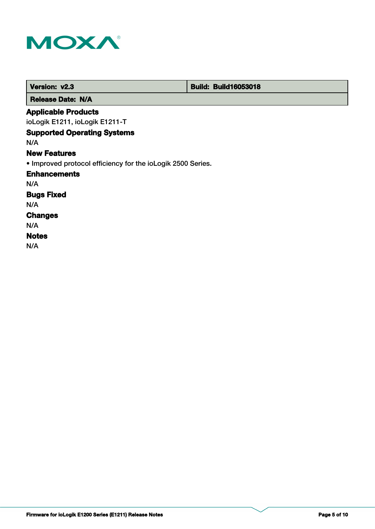

| Version: v2.3                                               | <b>Build: Build16053018</b> |
|-------------------------------------------------------------|-----------------------------|
| <b>Release Date: N/A</b>                                    |                             |
| <b>Applicable Products</b>                                  |                             |
| ioLogik E1211, ioLogik E1211-T                              |                             |
| <b>Supported Operating Systems</b>                          |                             |
| N/A                                                         |                             |
| <b>New Features</b>                                         |                             |
| • Improved protocol efficiency for the ioLogik 2500 Series. |                             |
| <b>Enhancements</b>                                         |                             |
| N/A                                                         |                             |
| <b>Bugs Fixed</b>                                           |                             |
| N/A                                                         |                             |
| <b>Changes</b>                                              |                             |
| N/A                                                         |                             |
| <b>Notes</b>                                                |                             |
| N/A                                                         |                             |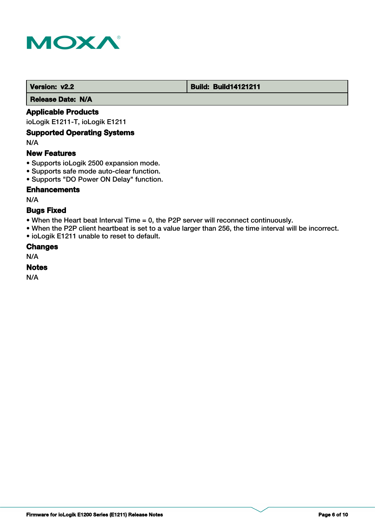

#### **Version: v2.2 Build: Build14121211**

 **Release Date: N/A**

## **Applicable Products**

ioLogik E1211-T, ioLogik E1211

## **Supported Operating Systems**

N/A

## **New Features**

- Supports ioLogik 2500 expansion mode.
- Supports safe mode auto-clear function.
- Supports "DO Power ON Delay" function.

## **Enhancements**

N/A

## **Bugs Fixed**

- When the Heart beat Interval Time = 0, the P2P server will reconnect continuously.
- When the P2P client heartbeat is set to a value larger than 256, the time interval will be incorrect.
- ioLogik E1211 unable to reset to default.

## **Changes**

N/A

## **Notes**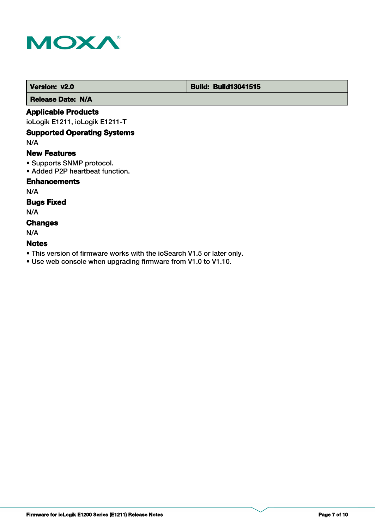

## **Version: v2.0 Build: Build: Build13041515**

 **Release Date: N/A**

## **Applicable Products**

ioLogik E1211, ioLogik E1211-T

## **Supported Operating Systems**

N/A

#### **New Features**

- Supports SNMP protocol.
- Added P2P heartbeat function.

## **Enhancements**

N/A

## **Bugs Fixed**

N/A

## **Changes**

N/A

## **Notes**

- This version of firmware works with the ioSearch V1.5 or later only.
- Use web console when upgrading firmware from V1.0 to V1.10.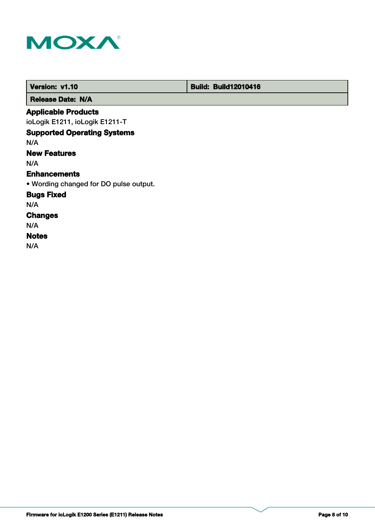

| Version: v1.10                         | <b>Build: Build12010416</b> |  |
|----------------------------------------|-----------------------------|--|
| <b>Release Date: N/A</b>               |                             |  |
| <b>Applicable Products</b>             |                             |  |
| ioLogik E1211, ioLogik E1211-T         |                             |  |
| <b>Supported Operating Systems</b>     |                             |  |
| N/A                                    |                             |  |
| <b>New Features</b>                    |                             |  |
| N/A                                    |                             |  |
| <b>Enhancements</b>                    |                             |  |
| • Wording changed for DO pulse output. |                             |  |
| <b>Bugs Fixed</b>                      |                             |  |
| N/A                                    |                             |  |
| <b>Changes</b>                         |                             |  |
| N/A                                    |                             |  |
| <b>Notes</b>                           |                             |  |
| N/A                                    |                             |  |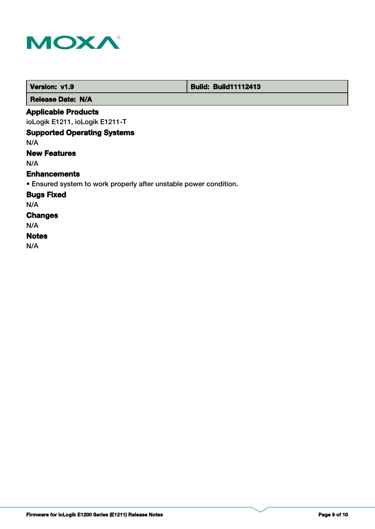

г

| Version: v1.9                                                     | <b>Build: Build11112413</b> |
|-------------------------------------------------------------------|-----------------------------|
| <b>Release Date: N/A</b>                                          |                             |
| <b>Applicable Products</b>                                        |                             |
| ioLogik E1211, ioLogik E1211-T                                    |                             |
| <b>Supported Operating Systems</b>                                |                             |
| N/A                                                               |                             |
| <b>New Features</b>                                               |                             |
| N/A                                                               |                             |
| <b>Enhancements</b>                                               |                             |
| • Ensured system to work properly after unstable power condition. |                             |
| <b>Bugs Fixed</b>                                                 |                             |
| N/A                                                               |                             |
| <b>Changes</b>                                                    |                             |
| N/A                                                               |                             |
| <b>Notes</b>                                                      |                             |
| N/A                                                               |                             |